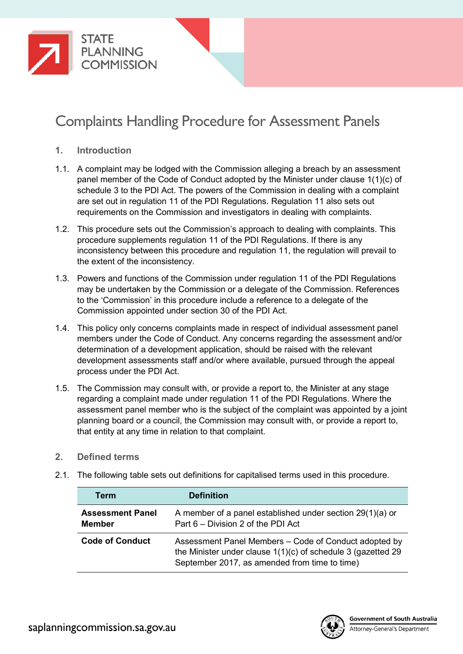

# Complaints Handling Procedure for Assessment Panels

- **1. Introduction**
- 1.1. A complaint may be lodged with the Commission alleging a breach by an assessment panel member of the Code of Conduct adopted by the Minister under clause 1(1)(c) of schedule 3 to the PDI Act. The powers of the Commission in dealing with a complaint are set out in regulation 11 of the PDI Regulations. Regulation 11 also sets out requirements on the Commission and investigators in dealing with complaints.
- 1.2. This procedure sets out the Commission's approach to dealing with complaints. This procedure supplements regulation 11 of the PDI Regulations. If there is any inconsistency between this procedure and regulation 11, the regulation will prevail to the extent of the inconsistency.
- 1.3. Powers and functions of the Commission under regulation 11 of the PDI Regulations may be undertaken by the Commission or a delegate of the Commission. References to the 'Commission' in this procedure include a reference to a delegate of the Commission appointed under section 30 of the PDI Act.
- 1.4. This policy only concerns complaints made in respect of individual assessment panel members under the Code of Conduct. Any concerns regarding the assessment and/or determination of a development application, should be raised with the relevant development assessments staff and/or where available, pursued through the appeal process under the PDI Act.
- 1.5. The Commission may consult with, or provide a report to, the Minister at any stage regarding a complaint made under regulation 11 of the PDI Regulations. Where the assessment panel member who is the subject of the complaint was appointed by a joint planning board or a council, the Commission may consult with, or provide a report to, that entity at any time in relation to that complaint.

## **2. Defined terms**

- **Term Definition Assessment Panel Member** A member of a panel established under section 29(1)(a) or Part 6 – Division 2 of the PDI Act **Code of Conduct** Assessment Panel Members – Code of Conduct adopted by the Minister under clause 1(1)(c) of schedule 3 (gazetted 29 September 2017, as amended from time to time)
- 2.1. The following table sets out definitions for capitalised terms used in this procedure.

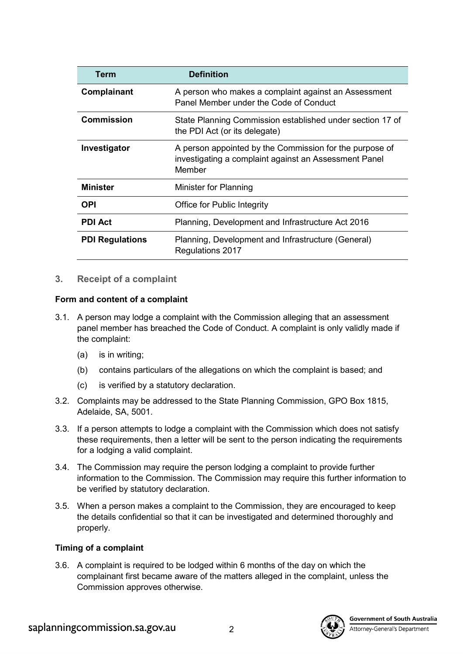| <b>Term</b>            | <b>Definition</b>                                                                                                          |
|------------------------|----------------------------------------------------------------------------------------------------------------------------|
| Complainant            | A person who makes a complaint against an Assessment<br>Panel Member under the Code of Conduct                             |
| <b>Commission</b>      | State Planning Commission established under section 17 of<br>the PDI Act (or its delegate)                                 |
| Investigator           | A person appointed by the Commission for the purpose of<br>investigating a complaint against an Assessment Panel<br>Member |
| <b>Minister</b>        | Minister for Planning                                                                                                      |
| <b>OPI</b>             | <b>Office for Public Integrity</b>                                                                                         |
| <b>PDI Act</b>         | Planning, Development and Infrastructure Act 2016                                                                          |
| <b>PDI Regulations</b> | Planning, Development and Infrastructure (General)<br>Regulations 2017                                                     |

## **3. Receipt of a complaint**

#### **Form and content of a complaint**

- 3.1. A person may lodge a complaint with the Commission alleging that an assessment panel member has breached the Code of Conduct. A complaint is only validly made if the complaint:
	- (a) is in writing;
	- (b) contains particulars of the allegations on which the complaint is based; and
	- (c) is verified by a statutory declaration.
- 3.2. Complaints may be addressed to the State Planning Commission, GPO Box 1815, Adelaide, SA, 5001.
- 3.3. If a person attempts to lodge a complaint with the Commission which does not satisfy these requirements, then a letter will be sent to the person indicating the requirements for a lodging a valid complaint.
- 3.4. The Commission may require the person lodging a complaint to provide further information to the Commission. The Commission may require this further information to be verified by statutory declaration.
- 3.5. When a person makes a complaint to the Commission, they are encouraged to keep the details confidential so that it can be investigated and determined thoroughly and properly.

#### **Timing of a complaint**

3.6. A complaint is required to be lodged within 6 months of the day on which the complainant first became aware of the matters alleged in the complaint, unless the Commission approves otherwise.

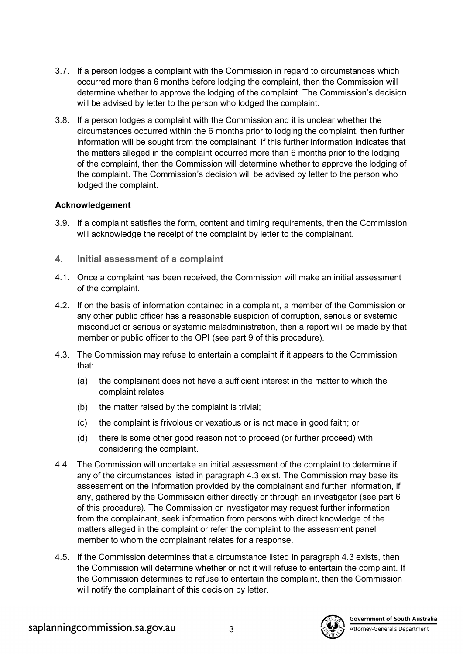- 3.7. If a person lodges a complaint with the Commission in regard to circumstances which occurred more than 6 months before lodging the complaint, then the Commission will determine whether to approve the lodging of the complaint. The Commission's decision will be advised by letter to the person who lodged the complaint.
- 3.8. If a person lodges a complaint with the Commission and it is unclear whether the circumstances occurred within the 6 months prior to lodging the complaint, then further information will be sought from the complainant. If this further information indicates that the matters alleged in the complaint occurred more than 6 months prior to the lodging of the complaint, then the Commission will determine whether to approve the lodging of the complaint. The Commission's decision will be advised by letter to the person who lodged the complaint.

#### **Acknowledgement**

- 3.9. If a complaint satisfies the form, content and timing requirements, then the Commission will acknowledge the receipt of the complaint by letter to the complainant.
- **4. Initial assessment of a complaint**
- 4.1. Once a complaint has been received, the Commission will make an initial assessment of the complaint.
- 4.2. If on the basis of information contained in a complaint, a member of the Commission or any other public officer has a reasonable suspicion of corruption, serious or systemic misconduct or serious or systemic maladministration, then a report will be made by that member or public officer to the OPI (see part [9](#page-6-0) of this procedure).
- <span id="page-2-0"></span>4.3. The Commission may refuse to entertain a complaint if it appears to the Commission that:
	- (a) the complainant does not have a sufficient interest in the matter to which the complaint relates;
	- (b) the matter raised by the complaint is trivial;
	- (c) the complaint is frivolous or vexatious or is not made in good faith; or
	- (d) there is some other good reason not to proceed (or further proceed) with considering the complaint.
- 4.4. The Commission will undertake an initial assessment of the complaint to determine if any of the circumstances listed in paragraph [4.3](#page-2-0) exist. The Commission may base its assessment on the information provided by the complainant and further information, if any, gathered by the Commission either directly or through an investigator (see part [6](#page-3-0) of this procedure). The Commission or investigator may request further information from the complainant, seek information from persons with direct knowledge of the matters alleged in the complaint or refer the complaint to the assessment panel member to whom the complainant relates for a response.
- 4.5. If the Commission determines that a circumstance listed in paragraph [4.3](#page-2-0) exists, then the Commission will determine whether or not it will refuse to entertain the complaint. If the Commission determines to refuse to entertain the complaint, then the Commission will notify the complainant of this decision by letter.



**Government of South Australia**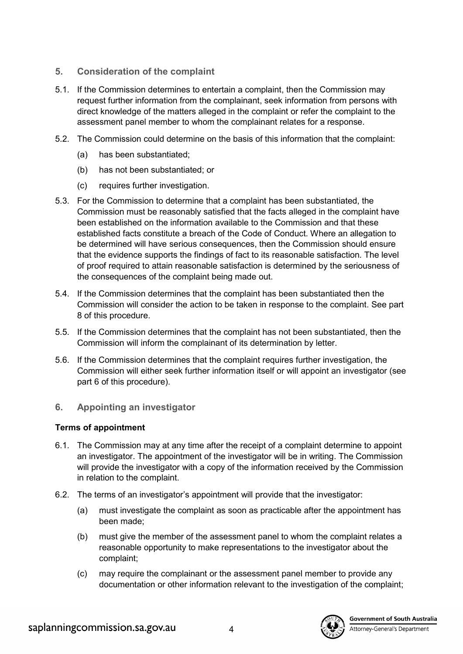# **5. Consideration of the complaint**

- 5.1. If the Commission determines to entertain a complaint, then the Commission may request further information from the complainant, seek information from persons with direct knowledge of the matters alleged in the complaint or refer the complaint to the assessment panel member to whom the complainant relates for a response.
- 5.2. The Commission could determine on the basis of this information that the complaint:
	- (a) has been substantiated;
	- (b) has not been substantiated; or
	- (c) requires further investigation.
- <span id="page-3-1"></span>5.3. For the Commission to determine that a complaint has been substantiated, the Commission must be reasonably satisfied that the facts alleged in the complaint have been established on the information available to the Commission and that these established facts constitute a breach of the Code of Conduct. Where an allegation to be determined will have serious consequences, then the Commission should ensure that the evidence supports the findings of fact to its reasonable satisfaction. The level of proof required to attain reasonable satisfaction is determined by the seriousness of the consequences of the complaint being made out.
- 5.4. If the Commission determines that the complaint has been substantiated then the Commission will consider the action to be taken in response to the complaint. See part [8](#page-6-1) of this procedure.
- 5.5. If the Commission determines that the complaint has not been substantiated, then the Commission will inform the complainant of its determination by letter.
- 5.6. If the Commission determines that the complaint requires further investigation, the Commission will either seek further information itself or will appoint an investigator (see part [6](#page-3-0) of this procedure).
- <span id="page-3-0"></span>**6. Appointing an investigator**

# **Terms of appointment**

- 6.1. The Commission may at any time after the receipt of a complaint determine to appoint an investigator. The appointment of the investigator will be in writing. The Commission will provide the investigator with a copy of the information received by the Commission in relation to the complaint.
- 6.2. The terms of an investigator's appointment will provide that the investigator:
	- (a) must investigate the complaint as soon as practicable after the appointment has been made;
	- (b) must give the member of the assessment panel to whom the complaint relates a reasonable opportunity to make representations to the investigator about the complaint;
	- (c) may require the complainant or the assessment panel member to provide any documentation or other information relevant to the investigation of the complaint;

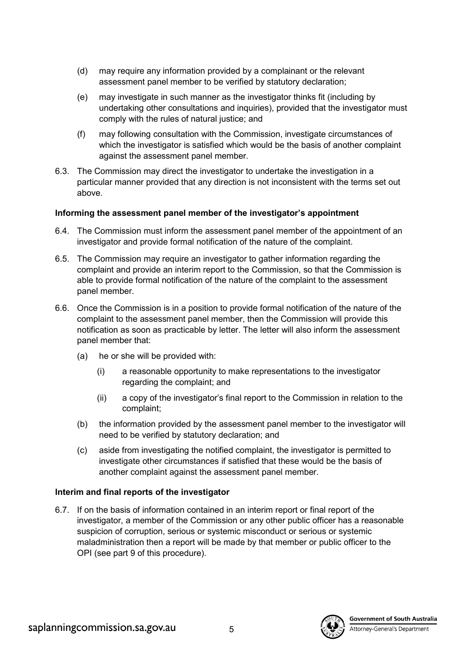- (d) may require any information provided by a complainant or the relevant assessment panel member to be verified by statutory declaration;
- (e) may investigate in such manner as the investigator thinks fit (including by undertaking other consultations and inquiries), provided that the investigator must comply with the rules of natural justice; and
- (f) may following consultation with the Commission, investigate circumstances of which the investigator is satisfied which would be the basis of another complaint against the assessment panel member.
- 6.3. The Commission may direct the investigator to undertake the investigation in a particular manner provided that any direction is not inconsistent with the terms set out above.

## **Informing the assessment panel member of the investigator's appointment**

- 6.4. The Commission must inform the assessment panel member of the appointment of an investigator and provide formal notification of the nature of the complaint.
- 6.5. The Commission may require an investigator to gather information regarding the complaint and provide an interim report to the Commission, so that the Commission is able to provide formal notification of the nature of the complaint to the assessment panel member.
- 6.6. Once the Commission is in a position to provide formal notification of the nature of the complaint to the assessment panel member, then the Commission will provide this notification as soon as practicable by letter. The letter will also inform the assessment panel member that:
	- (a) he or she will be provided with:
		- (i) a reasonable opportunity to make representations to the investigator regarding the complaint; and
		- (ii) a copy of the investigator's final report to the Commission in relation to the complaint;
	- (b) the information provided by the assessment panel member to the investigator will need to be verified by statutory declaration; and
	- (c) aside from investigating the notified complaint, the investigator is permitted to investigate other circumstances if satisfied that these would be the basis of another complaint against the assessment panel member.

#### **Interim and final reports of the investigator**

6.7. If on the basis of information contained in an interim report or final report of the investigator, a member of the Commission or any other public officer has a reasonable suspicion of corruption, serious or systemic misconduct or serious or systemic maladministration then a report will be made by that member or public officer to the OPI (see part [9](#page-6-0) of this procedure).

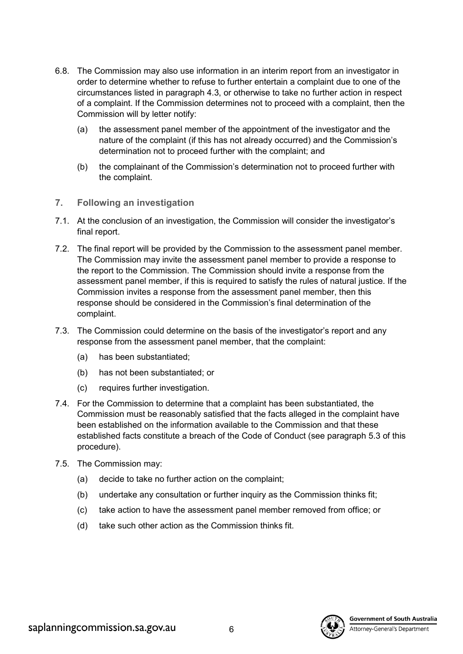- 6.8. The Commission may also use information in an interim report from an investigator in order to determine whether to refuse to further entertain a complaint due to one of the circumstances listed in paragraph [4.3,](#page-2-0) or otherwise to take no further action in respect of a complaint. If the Commission determines not to proceed with a complaint, then the Commission will by letter notify:
	- (a) the assessment panel member of the appointment of the investigator and the nature of the complaint (if this has not already occurred) and the Commission's determination not to proceed further with the complaint; and
	- (b) the complainant of the Commission's determination not to proceed further with the complaint.
- **7. Following an investigation**
- 7.1. At the conclusion of an investigation, the Commission will consider the investigator's final report.
- 7.2. The final report will be provided by the Commission to the assessment panel member. The Commission may invite the assessment panel member to provide a response to the report to the Commission. The Commission should invite a response from the assessment panel member, if this is required to satisfy the rules of natural justice. If the Commission invites a response from the assessment panel member, then this response should be considered in the Commission's final determination of the complaint.
- 7.3. The Commission could determine on the basis of the investigator's report and any response from the assessment panel member, that the complaint:
	- (a) has been substantiated;
	- (b) has not been substantiated; or
	- (c) requires further investigation.
- 7.4. For the Commission to determine that a complaint has been substantiated, the Commission must be reasonably satisfied that the facts alleged in the complaint have been established on the information available to the Commission and that these established facts constitute a breach of the Code of Conduct (see paragraph [5.3](#page-3-1) of this procedure).
- 7.5. The Commission may:
	- (a) decide to take no further action on the complaint;
	- (b) undertake any consultation or further inquiry as the Commission thinks fit;
	- (c) take action to have the assessment panel member removed from office; or
	- (d) take such other action as the Commission thinks fit.